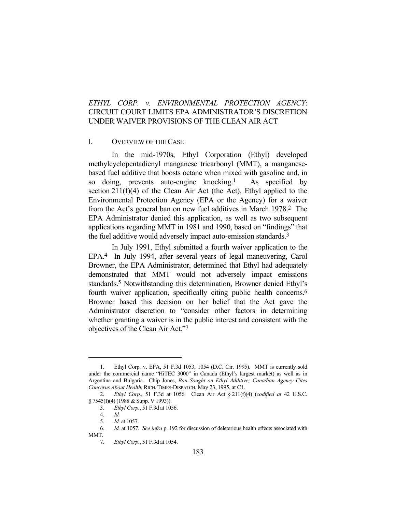# *ETHYL CORP. v. ENVIRONMENTAL PROTECTION AGENCY*: CIRCUIT COURT LIMITS EPA ADMINISTRATOR'S DISCRETION UNDER WAIVER PROVISIONS OF THE CLEAN AIR ACT

#### I. OVERVIEW OF THE CASE

 In the mid-1970s, Ethyl Corporation (Ethyl) developed methylcyclopentadienyl manganese tricarbonyl (MMT), a manganesebased fuel additive that boosts octane when mixed with gasoline and, in so doing, prevents auto-engine knocking.<sup>1</sup> As specified by section  $211(f)(4)$  of the Clean Air Act (the Act), Ethyl applied to the Environmental Protection Agency (EPA or the Agency) for a waiver from the Act's general ban on new fuel additives in March 1978.2 The EPA Administrator denied this application, as well as two subsequent applications regarding MMT in 1981 and 1990, based on "findings" that the fuel additive would adversely impact auto-emission standards.3

 In July 1991, Ethyl submitted a fourth waiver application to the EPA.4 In July 1994, after several years of legal maneuvering, Carol Browner, the EPA Administrator, determined that Ethyl had adequately demonstrated that MMT would not adversely impact emissions standards.5 Notwithstanding this determination, Browner denied Ethyl's fourth waiver application, specifically citing public health concerns.6 Browner based this decision on her belief that the Act gave the Administrator discretion to "consider other factors in determining whether granting a waiver is in the public interest and consistent with the objectives of the Clean Air Act."7

 <sup>1.</sup> Ethyl Corp. v. EPA, 51 F.3d 1053, 1054 (D.C. Cir. 1995). MMT is currently sold under the commercial name "HiTEC 3000" in Canada (Ethyl's largest market) as well as in Argentina and Bulgaria. Chip Jones, *Ban Sought on Ethyl Additive; Canadian Agency Cites Concerns About Health*, RICH. TIMES-DISPATCH, May 23, 1995, at C1.

 <sup>2.</sup> *Ethyl Corp.*, 51 F.3d at 1056. Clean Air Act § 211(f)(4) (*codified at* 42 U.S.C. § 7545(f)(4) (1988 & Supp. V 1993)).

 <sup>3.</sup> *Ethyl Corp.*, 51 F.3d at 1056.

 <sup>4.</sup> *Id.*

 <sup>5.</sup> *Id.* at 1057.

 <sup>6.</sup> *Id.* at 1057. *See infra* p. 192 for discussion of deleterious health effects associated with MMT.

 <sup>7.</sup> *Ethyl Corp.*, 51 F.3d at 1054.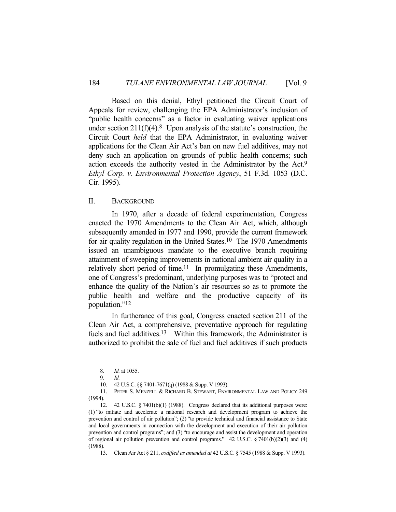Based on this denial, Ethyl petitioned the Circuit Court of Appeals for review, challenging the EPA Administrator's inclusion of "public health concerns" as a factor in evaluating waiver applications under section  $211(f)(4)$ .<sup>8</sup> Upon analysis of the statute's construction, the Circuit Court *held* that the EPA Administrator, in evaluating waiver applications for the Clean Air Act's ban on new fuel additives, may not deny such an application on grounds of public health concerns; such action exceeds the authority vested in the Administrator by the Act.9 *Ethyl Corp. v. Environmental Protection Agency*, 51 F.3d. 1053 (D.C. Cir. 1995).

## II. BACKGROUND

 In 1970, after a decade of federal experimentation, Congress enacted the 1970 Amendments to the Clean Air Act, which, although subsequently amended in 1977 and 1990, provide the current framework for air quality regulation in the United States.<sup>10</sup> The 1970 Amendments issued an unambiguous mandate to the executive branch requiring attainment of sweeping improvements in national ambient air quality in a relatively short period of time.<sup>11</sup> In promulgating these Amendments, one of Congress's predominant, underlying purposes was to "protect and enhance the quality of the Nation's air resources so as to promote the public health and welfare and the productive capacity of its population."12

 In furtherance of this goal, Congress enacted section 211 of the Clean Air Act, a comprehensive, preventative approach for regulating fuels and fuel additives.<sup>13</sup> Within this framework, the Administrator is authorized to prohibit the sale of fuel and fuel additives if such products

 <sup>8.</sup> *Id.* at 1055.

 <sup>9.</sup> *Id.*

 <sup>10. 42</sup> U.S.C. §§ 7401-7671(q) (1988 & Supp. V 1993).

 <sup>11.</sup> PETER S. MENZELL & RICHARD B. STEWART, ENVIRONMENTAL LAW AND POLICY 249 (1994).

 <sup>12. 42</sup> U.S.C. § 7401(b)(1) (1988). Congress declared that its additional purposes were: (1) "to initiate and accelerate a national research and development program to achieve the prevention and control of air pollution"; (2) "to provide technical and financial assistance to State and local governments in connection with the development and execution of their air pollution prevention and control programs"; and (3) "to encourage and assist the development and operation of regional air pollution prevention and control programs." 42 U.S.C. § 7401(b)(2)(3) and (4) (1988).

 <sup>13.</sup> Clean Air Act § 211, *codified as amended at* 42 U.S.C. § 7545 (1988 & Supp. V 1993).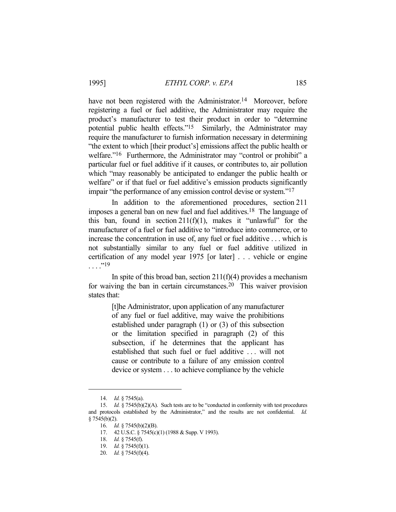have not been registered with the Administrator.<sup>14</sup> Moreover, before registering a fuel or fuel additive, the Administrator may require the product's manufacturer to test their product in order to "determine potential public health effects."15 Similarly, the Administrator may require the manufacturer to furnish information necessary in determining "the extent to which [their product's] emissions affect the public health or welfare."<sup>16</sup> Furthermore, the Administrator may "control or prohibit" a particular fuel or fuel additive if it causes, or contributes to, air pollution which "may reasonably be anticipated to endanger the public health or welfare" or if that fuel or fuel additive's emission products significantly impair "the performance of any emission control devise or system."17

 In addition to the aforementioned procedures, section 211 imposes a general ban on new fuel and fuel additives.18 The language of this ban, found in section  $211(f)(1)$ , makes it "unlawful" for the manufacturer of a fuel or fuel additive to "introduce into commerce, or to increase the concentration in use of, any fuel or fuel additive . . . which is not substantially similar to any fuel or fuel additive utilized in certification of any model year 1975 [or later] . . . vehicle or engine  $\ldots$ ."<sup>19</sup>

In spite of this broad ban, section  $211(f)(4)$  provides a mechanism for waiving the ban in certain circumstances.20 This waiver provision states that:

> [t]he Administrator, upon application of any manufacturer of any fuel or fuel additive, may waive the prohibitions established under paragraph (1) or (3) of this subsection or the limitation specified in paragraph (2) of this subsection, if he determines that the applicant has established that such fuel or fuel additive . . . will not cause or contribute to a failure of any emission control device or system . . . to achieve compliance by the vehicle

 <sup>14.</sup> *Id.* § 7545(a).

 <sup>15.</sup> *Id.* § 7545(b)(2)(A). Such tests are to be "conducted in conformity with test procedures and protocols established by the Administrator," and the results are not confidential. *Id.* § 7545(b)(2).

 <sup>16.</sup> *Id.* § 7545(b)(2)(B).

 <sup>17. 42</sup> U.S.C. § 7545(c)(1) (1988 & Supp. V 1993).

 <sup>18.</sup> *Id.* § 7545(f).

 <sup>19.</sup> *Id.* § 7545(f)(1).

 <sup>20.</sup> *Id.* § 7545(f)(4).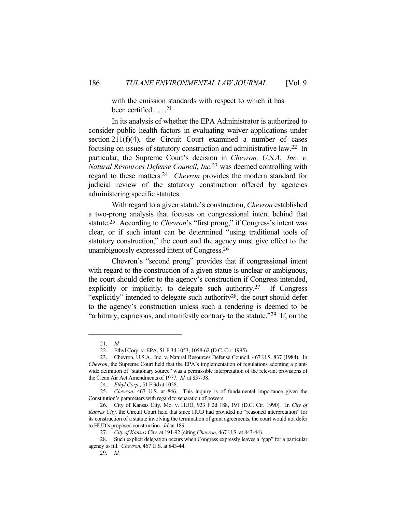with the emission standards with respect to which it has been certified  $\dots$ .<sup>21</sup>

 In its analysis of whether the EPA Administrator is authorized to consider public health factors in evaluating waiver applications under section  $211(f)(4)$ , the Circuit Court examined a number of cases focusing on issues of statutory construction and administrative law.22 In particular, the Supreme Court's decision in *Chevron, U.S.A., Inc. v. Natural Resources Defense Council, Inc.*23 was deemed controlling with regard to these matters.24 *Chevron* provides the modern standard for judicial review of the statutory construction offered by agencies administering specific statutes.

With regard to a given statute's construction, *Chevron* established a two-prong analysis that focuses on congressional intent behind that statute.25 According to *Chevron*'s "first prong," if Congress's intent was clear, or if such intent can be determined "using traditional tools of statutory construction," the court and the agency must give effect to the unambiguously expressed intent of Congress.26

 Chevron's "second prong" provides that if congressional intent with regard to the construction of a given statue is unclear or ambiguous, the court should defer to the agency's construction if Congress intended, explicitly or implicitly, to delegate such authority.27 If Congress "explicitly" intended to delegate such authority28, the court should defer to the agency's construction unless such a rendering is deemed to be "arbitrary, capricious, and manifestly contrary to the statute."<sup>29</sup> If, on the

 <sup>21.</sup> *Id.*

 <sup>22.</sup> Ethyl Corp. v. EPA, 51 F.3d 1053, 1058-62 (D.C. Cir. 1995).

 <sup>23.</sup> Chevron, U.S.A., Inc. v. Natural Resources Defense Council, 467 U.S. 837 (1984). In *Chevron*, the Supreme Court held that the EPA's implementation of regulations adopting a plantwide definition of "stationary source" was a permissible interpretation of the relevant provisions of the Clean Air Act Amendments of 1977. *Id.* at 837-38.

 <sup>24.</sup> *Ethyl Corp.*, 51 F.3d at 1058.

 <sup>25.</sup> *Chevron*, 467 U.S. at 846. This inquiry is of fundamental importance given the Constitution's parameters with regard to separation of powers.

 <sup>26.</sup> City of Kansas City, Mo. v. HUD, 923 F.2d 188, 191 (D.C. Cir. 1990). In *City of Kansas City*, the Circuit Court held that since HUD had provided no "reasoned interpretation" for its construction of a statute involving the termination of grant agreements, the court would not defer to HUD's proposed construction. *Id.* at 189.

 <sup>27.</sup> *City of Kansas City,* at 191-92 (citing *Chevron*, 467 U.S. at 843-44).

 <sup>28.</sup> Such explicit delegation occurs when Congress expressly leaves a "gap" for a particular agency to fill. *Chevron*, 467 U.S. at 843-44.

 <sup>29.</sup> *Id.*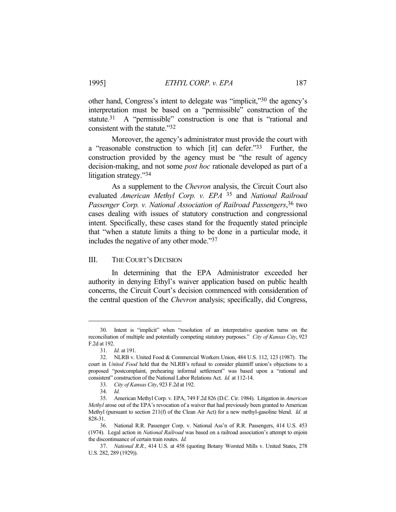other hand, Congress's intent to delegate was "implicit,"30 the agency's interpretation must be based on a "permissible" construction of the statute.<sup>31</sup> A "permissible" construction is one that is "rational and consistent with the statute."32

 Moreover, the agency's administrator must provide the court with a "reasonable construction to which [it] can defer."33 Further, the construction provided by the agency must be "the result of agency decision-making, and not some *post hoc* rationale developed as part of a litigation strategy."34

 As a supplement to the *Chevron* analysis, the Circuit Court also evaluated *American Methyl Corp. v. EPA* 35 and *National Railroad Passenger Corp. v. National Association of Railroad Passengers*, 36 two cases dealing with issues of statutory construction and congressional intent. Specifically, these cases stand for the frequently stated principle that "when a statute limits a thing to be done in a particular mode, it includes the negative of any other mode."37

### III. THE COURT'S DECISION

 In determining that the EPA Administrator exceeded her authority in denying Ethyl's waiver application based on public health concerns, the Circuit Court's decision commenced with consideration of the central question of the *Chevron* analysis; specifically, did Congress,

 <sup>30.</sup> Intent is "implicit" when "resolution of an interpretative question turns on the reconciliation of multiple and potentially competing statutory purposes." *City of Kansas City*, 923 F.2d at 192.

 <sup>31.</sup> *Id.* at 191.

 <sup>32.</sup> NLRB v. United Food & Commercial Workers Union, 484 U.S. 112, 123 (1987). The court in *United Food* held that the NLRB's refusal to consider plaintiff union's objections to a proposed "postcomplaint, prehearing informal settlement" was based upon a "rational and consistent" construction of the National Labor Relations Act. *Id.* at 112-14.

 <sup>33.</sup> *City of Kansas City*, 923 F.2d at 192.

 <sup>34.</sup> *Id.*

 <sup>35.</sup> American Methyl Corp. v. EPA, 749 F.2d 826 (D.C. Cir. 1984). Litigation in *American Methyl* arose out of the EPA's revocation of a waiver that had previously been granted to American Methyl (pursuant to section 211(f) of the Clean Air Act) for a new methyl-gasoline blend. *Id.* at 828-31.

 <sup>36.</sup> National R.R. Passenger Corp. v. National Ass'n of R.R. Passengers, 414 U.S. 453 (1974). Legal action in *National Railroad* was based on a railroad association's attempt to enjoin the discontinuance of certain train routes. *Id.*

 <sup>37.</sup> *National R.R.*, 414 U.S. at 458 (quoting Botany Worsted Mills v. United States, 278 U.S. 282, 289 (1929)).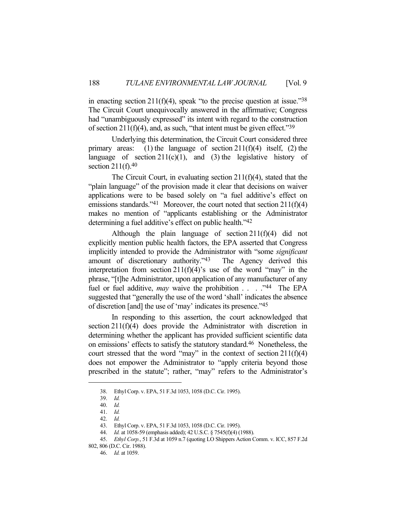in enacting section  $211(f)(4)$ , speak "to the precise question at issue."<sup>38</sup> The Circuit Court unequivocally answered in the affirmative; Congress had "unambiguously expressed" its intent with regard to the construction of section  $211(f)(4)$ , and, as such, "that intent must be given effect."<sup>39</sup>

 Underlying this determination, the Circuit Court considered three primary areas: (1) the language of section  $211(f)(4)$  itself, (2) the language of section  $211(c)(1)$ , and (3) the legislative history of section  $211(f).40$ 

 The Circuit Court, in evaluating section 211(f)(4), stated that the "plain language" of the provision made it clear that decisions on waiver applications were to be based solely on "a fuel additive's effect on emissions standards."<sup>41</sup> Moreover, the court noted that section  $211(f)(4)$ makes no mention of "applicants establishing or the Administrator determining a fuel additive's effect on public health."42

 Although the plain language of section 211(f)(4) did not explicitly mention public health factors, the EPA asserted that Congress implicitly intended to provide the Administrator with "some *significant* amount of discretionary authority."43 The Agency derived this interpretation from section  $211(f)(4)$ 's use of the word "may" in the phrase, "[t]he Administrator, upon application of any manufacturer of any fuel or fuel additive, *may* waive the prohibition . . . ."44 The EPA suggested that "generally the use of the word 'shall' indicates the absence of discretion [and] the use of 'may' indicates its presence."45

 In responding to this assertion, the court acknowledged that section 211(f)(4) does provide the Administrator with discretion in determining whether the applicant has provided sufficient scientific data on emissions' effects to satisfy the statutory standard.46 Nonetheless, the court stressed that the word "may" in the context of section  $211(f)(4)$ does not empower the Administrator to "apply criteria beyond those prescribed in the statute"; rather, "may" refers to the Administrator's

 <sup>38.</sup> Ethyl Corp. v. EPA, 51 F.3d 1053, 1058 (D.C. Cir. 1995).

 <sup>39.</sup> *Id.*

 <sup>40.</sup> *Id.*

 <sup>41.</sup> *Id.*

 <sup>42.</sup> *Id.*

 <sup>43.</sup> Ethyl Corp. v. EPA, 51 F.3d 1053, 1058 (D.C. Cir. 1995).

 <sup>44.</sup> *Id.* at 1058-59 (emphasis added); 42 U.S.C. § 7545(f)(4) (1988).

 <sup>45.</sup> *Ethyl Corp.*, 51 F.3d at 1059 n.7 (quoting LO Shippers Action Comm. v. ICC, 857 F.2d

<sup>802, 806 (</sup>D.C. Cir. 1988).

 <sup>46.</sup> *Id.* at 1059.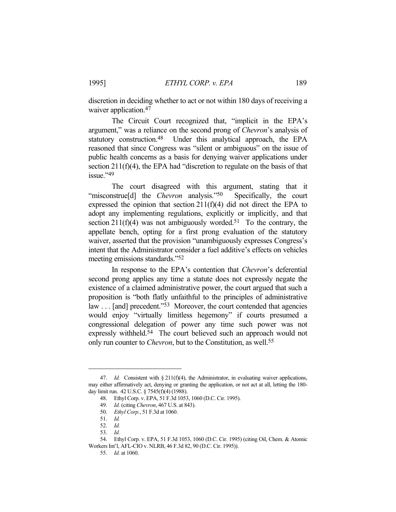discretion in deciding whether to act or not within 180 days of receiving a waiver application.<sup>47</sup>

 The Circuit Court recognized that, "implicit in the EPA's argument," was a reliance on the second prong of *Chevron*'s analysis of statutory construction.48 Under this analytical approach, the EPA reasoned that since Congress was "silent or ambiguous" on the issue of public health concerns as a basis for denying waiver applications under section 211(f)(4), the EPA had "discretion to regulate on the basis of that issue."49

 The court disagreed with this argument, stating that it "misconstrue<sup>[d]</sup> the *Chevron* analysis."<sup>50</sup> Specifically, the court expressed the opinion that section  $211(f)(4)$  did not direct the EPA to adopt any implementing regulations, explicitly or implicitly, and that section  $211(f)(4)$  was not ambiguously worded.<sup>51</sup> To the contrary, the appellate bench, opting for a first prong evaluation of the statutory waiver, asserted that the provision "unambiguously expresses Congress's intent that the Administrator consider a fuel additive's effects on vehicles meeting emissions standards."52

 In response to the EPA's contention that *Chevron*'s deferential second prong applies any time a statute does not expressly negate the existence of a claimed administrative power, the court argued that such a proposition is "both flatly unfaithful to the principles of administrative  $\text{law} \dots \text{ [and]} \text{ precedent."}^{53}$  Moreover, the court contended that agencies would enjoy "virtually limitless hegemony" if courts presumed a congressional delegation of power any time such power was not expressly withheld.<sup>54</sup> The court believed such an approach would not only run counter to *Chevron*, but to the Constitution, as well.55

<sup>47.</sup> *Id.* Consistent with § 211(f)(4), the Administrator, in evaluating waiver applications, may either affirmatively act, denying or granting the application, or not act at all, letting the 180 day limit run. 42 U.S.C. § 7545(f)(4) (1988).

 <sup>48.</sup> Ethyl Corp. v. EPA, 51 F.3d 1053, 1060 (D.C. Cir. 1995).

 <sup>49.</sup> *Id.* (citing *Chevron*, 467 U.S. at 843).

 <sup>50.</sup> *Ethyl Corp.*, 51 F.3d at 1060.

 <sup>51.</sup> *Id.*

 <sup>52.</sup> *Id.*

 <sup>53.</sup> *Id.*

 <sup>54.</sup> Ethyl Corp. v. EPA, 51 F.3d 1053, 1060 (D.C. Cir. 1995) (citing Oil, Chem. & Atomic Workers Int'l, AFL-CIO v. NLRB, 46 F.3d 82, 90 (D.C. Cir. 1995)).

 <sup>55.</sup> *Id.* at 1060.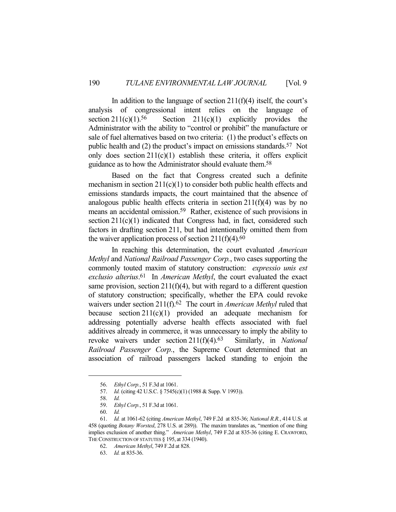In addition to the language of section  $211(f)(4)$  itself, the court's analysis of congressional intent relies on the language of section  $211(c)(1)$ <sup>56</sup> Section  $211(c)(1)$  explicitly provides the Administrator with the ability to "control or prohibit" the manufacture or sale of fuel alternatives based on two criteria: (1) the product's effects on public health and (2) the product's impact on emissions standards.57 Not only does section  $211(c)(1)$  establish these criteria, it offers explicit guidance as to how the Administrator should evaluate them.58

 Based on the fact that Congress created such a definite mechanism in section  $211(c)(1)$  to consider both public health effects and emissions standards impacts, the court maintained that the absence of analogous public health effects criteria in section  $211(f)(4)$  was by no means an accidental omission.59 Rather, existence of such provisions in section 211(c)(1) indicated that Congress had, in fact, considered such factors in drafting section 211, but had intentionally omitted them from the waiver application process of section  $211(f)(4)$ .<sup>60</sup>

 In reaching this determination, the court evaluated *American Methyl* and *National Railroad Passenger Corp.*, two cases supporting the commonly touted maxim of statutory construction: *expressio unis est exclusio alterius*. 61 In *American Methyl*, the court evaluated the exact same provision, section  $211(f)(4)$ , but with regard to a different question of statutory construction; specifically, whether the EPA could revoke waivers under section 211(f).62 The court in *American Methyl* ruled that because section 211(c)(1) provided an adequate mechanism for addressing potentially adverse health effects associated with fuel additives already in commerce, it was unnecessary to imply the ability to revoke waivers under section 211(f)(4).63 Similarly, in *National Railroad Passenger Corp.*, the Supreme Court determined that an association of railroad passengers lacked standing to enjoin the

 <sup>56.</sup> *Ethyl Corp.*, 51 F.3d at 1061.

 <sup>57.</sup> *Id.* (citing 42 U.S.C. § 7545(c)(1) (1988 & Supp. V 1993)).

 <sup>58.</sup> *Id.*

 <sup>59.</sup> *Ethyl Corp.*, 51 F.3d at 1061.

 <sup>60.</sup> *Id.*

 <sup>61.</sup> *Id.* at 1061-62 (citing *American Methyl*, 749 F.2d at 835-36; *National R.R.*, 414 U.S. at 458 (quoting *Botany Worsted*, 278 U.S. at 289)). The maxim translates as, "mention of one thing implies exclusion of another thing." *American Methyl*, 749 F.2d at 835-36 (citing E. CRAWFORD, THE CONSTRUCTION OF STATUTES § 195, at 334 (1940).

 <sup>62.</sup> *American Methyl*, 749 F.2d at 828.

 <sup>63.</sup> *Id.* at 835-36.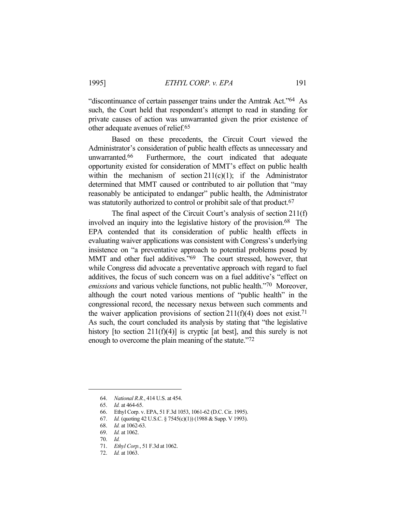"discontinuance of certain passenger trains under the Amtrak Act."64 As such, the Court held that respondent's attempt to read in standing for private causes of action was unwarranted given the prior existence of other adequate avenues of relief.65

 Based on these precedents, the Circuit Court viewed the Administrator's consideration of public health effects as unnecessary and unwarranted.66 Furthermore, the court indicated that adequate opportunity existed for consideration of MMT's effect on public health within the mechanism of section  $211(c)(1)$ ; if the Administrator determined that MMT caused or contributed to air pollution that "may reasonably be anticipated to endanger" public health, the Administrator was statutorily authorized to control or prohibit sale of that product.<sup>67</sup>

 The final aspect of the Circuit Court's analysis of section 211(f) involved an inquiry into the legislative history of the provision.68 The EPA contended that its consideration of public health effects in evaluating waiver applications was consistent with Congress's underlying insistence on "a preventative approach to potential problems posed by MMT and other fuel additives."<sup>69</sup> The court stressed, however, that while Congress did advocate a preventative approach with regard to fuel additives, the focus of such concern was on a fuel additive's "effect on *emissions* and various vehicle functions, not public health."70 Moreover, although the court noted various mentions of "public health" in the congressional record, the necessary nexus between such comments and the waiver application provisions of section  $211(f)(4)$  does not exist.<sup>71</sup> As such, the court concluded its analysis by stating that "the legislative history [to section  $211(f)(4)$ ] is cryptic [at best], and this surely is not enough to overcome the plain meaning of the statute."72

 <sup>64.</sup> *National R.R.*, 414 U.S. at 454.

 <sup>65.</sup> *Id.* at 464-65.

 <sup>66.</sup> Ethyl Corp. v. EPA, 51 F.3d 1053, 1061-62 (D.C. Cir. 1995).

 <sup>67.</sup> *Id.* (quoting 42 U.S.C. § 7545(c)(1)) (1988 & Supp. V 1993).

 <sup>68.</sup> *Id.* at 1062-63.

 <sup>69.</sup> *Id.* at 1062.

 <sup>70.</sup> *Id.*

 <sup>71.</sup> *Ethyl Corp.*, 51 F.3d at 1062.

 <sup>72.</sup> *Id.* at 1063.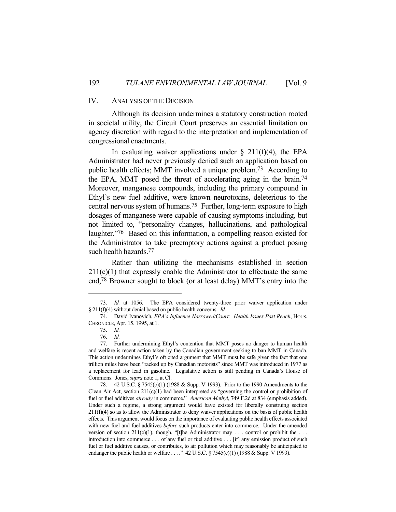## IV. ANALYSIS OF THE DECISION

 Although its decision undermines a statutory construction rooted in societal utility, the Circuit Court preserves an essential limitation on agency discretion with regard to the interpretation and implementation of congressional enactments.

In evaluating waiver applications under  $\S$  211(f)(4), the EPA Administrator had never previously denied such an application based on public health effects; MMT involved a unique problem.73 According to the EPA, MMT posed the threat of accelerating aging in the brain.74 Moreover, manganese compounds, including the primary compound in Ethyl's new fuel additive, were known neurotoxins, deleterious to the central nervous system of humans.75 Further, long-term exposure to high dosages of manganese were capable of causing symptoms including, but not limited to, "personality changes, hallucinations, and pathological laughter."76 Based on this information, a compelling reason existed for the Administrator to take preemptory actions against a product posing such health hazards.77

 Rather than utilizing the mechanisms established in section  $211(c)(1)$  that expressly enable the Administrator to effectuate the same end,78 Browner sought to block (or at least delay) MMT's entry into the

 <sup>73.</sup> *Id.* at 1056. The EPA considered twenty-three prior waiver application under § 211(f)(4) without denial based on public health concerns. *Id.*

 <sup>74.</sup> David Ivanovich, *EPA's Influence Narrowed/Court: Health Issues Past Reach*, HOUS. CHRONICLE, Apr. 15, 1995, at 1.

 <sup>75.</sup> *Id.*

 <sup>76.</sup> *Id.*

 <sup>77.</sup> Further undermining Ethyl's contention that MMT poses no danger to human health and welfare is recent action taken by the Canadian government seeking to ban MMT in Canada. This action undermines Ethyl's oft cited argument that MMT must be safe given the fact that one trillion miles have been "racked up by Canadian motorists" since MMT was introduced in 1977 as a replacement for lead in gasoline. Legislative action is still pending in Canada's House of Commons. Jones, *supra* note 1, at Cl.

 <sup>78. 42</sup> U.S.C. § 7545(c)(1) (1988 & Supp. V 1993). Prior to the 1990 Amendments to the Clean Air Act, section 211(c)(1) had been interpreted as "governing the control or prohibition of fuel or fuel additives *already* in commerce." *American Methyl*, 749 F.2d at 834 (emphasis added). Under such a regime, a strong argument would have existed for liberally construing section  $211(f)(4)$  so as to allow the Administrator to deny waiver applications on the basis of public health effects. This argument would focus on the importance of evaluating public health effects associated with new fuel and fuel additives *before* such products enter into commerce. Under the amended version of section 211(c)(1), though, "[t]he Administrator may . . . control or prohibit the . . . introduction into commerce . . . of any fuel or fuel additive . . . [if] any emission product of such fuel or fuel additive causes, or contributes, to air pollution which may reasonably be anticipated to endanger the public health or welfare . . . ." 42 U.S.C. § 7545(c)(1) (1988 & Supp. V 1993).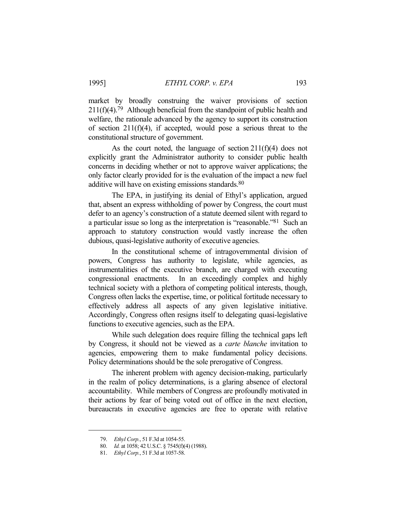market by broadly construing the waiver provisions of section  $211(f)(4)$ .<sup>79</sup> Although beneficial from the standpoint of public health and welfare, the rationale advanced by the agency to support its construction of section  $211(f)(4)$ , if accepted, would pose a serious threat to the constitutional structure of government.

 As the court noted, the language of section 211(f)(4) does not explicitly grant the Administrator authority to consider public health concerns in deciding whether or not to approve waiver applications; the only factor clearly provided for is the evaluation of the impact a new fuel additive will have on existing emissions standards.<sup>80</sup>

 The EPA, in justifying its denial of Ethyl's application, argued that, absent an express withholding of power by Congress, the court must defer to an agency's construction of a statute deemed silent with regard to a particular issue so long as the interpretation is "reasonable."81 Such an approach to statutory construction would vastly increase the often dubious, quasi-legislative authority of executive agencies.

 In the constitutional scheme of intragovernmental division of powers, Congress has authority to legislate, while agencies, as instrumentalities of the executive branch, are charged with executing congressional enactments. In an exceedingly complex and highly technical society with a plethora of competing political interests, though, Congress often lacks the expertise, time, or political fortitude necessary to effectively address all aspects of any given legislative initiative. Accordingly, Congress often resigns itself to delegating quasi-legislative functions to executive agencies, such as the EPA.

 While such delegation does require filling the technical gaps left by Congress, it should not be viewed as a *carte blanche* invitation to agencies, empowering them to make fundamental policy decisions. Policy determinations should be the sole prerogative of Congress.

 The inherent problem with agency decision-making, particularly in the realm of policy determinations, is a glaring absence of electoral accountability. While members of Congress are profoundly motivated in their actions by fear of being voted out of office in the next election, bureaucrats in executive agencies are free to operate with relative

 <sup>79.</sup> *Ethyl Corp.*, 51 F.3d at 1054-55.

 <sup>80.</sup> *Id.* at 1058; 42 U.S.C. § 7545(f)(4) (1988).

 <sup>81.</sup> *Ethyl Corp.*, 51 F.3d at 1057-58.